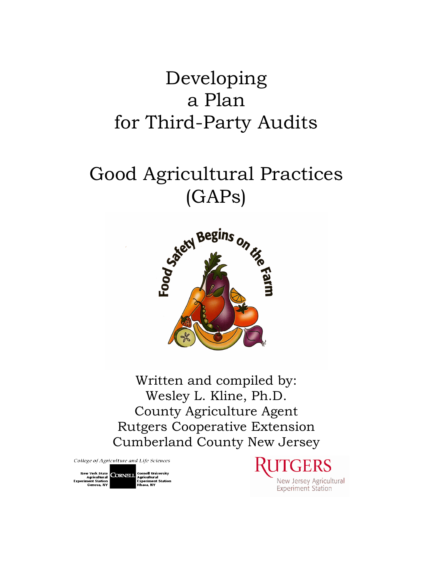## Developing a Plan for Third-Party Audits

# Good Agricultural Practices (GAPs)



Written and compiled by: Wesley L. Kline, Ph.D. County Agriculture Agent Rutgers Cooperative Extension Cumberland County New Jersey

College of Agriculture and Life Sciences

New York State<br>Agricultural CORNELL Agricultural<br>Experiment Station<br>Ceneva, NY Experiment Station

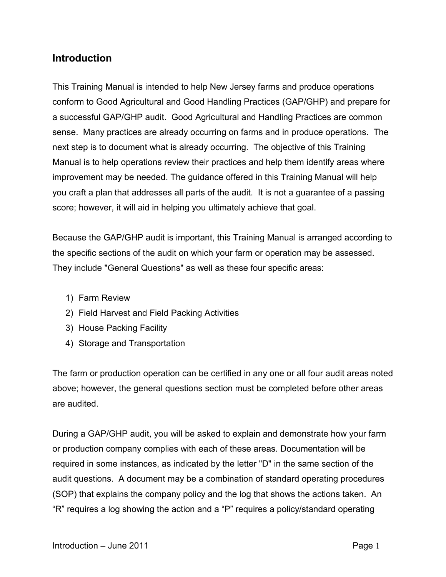### **Introduction**

This Training Manual is intended to help New Jersey farms and produce operations conform to Good Agricultural and Good Handling Practices (GAP/GHP) and prepare for a successful GAP/GHP audit. Good Agricultural and Handling Practices are common sense. Many practices are already occurring on farms and in produce operations. The next step is to document what is already occurring. The objective of this Training Manual is to help operations review their practices and help them identify areas where improvement may be needed. The guidance offered in this Training Manual will help you craft a plan that addresses all parts of the audit. It is not a guarantee of a passing score; however, it will aid in helping you ultimately achieve that goal.

Because the GAP/GHP audit is important, this Training Manual is arranged according to the specific sections of the audit on which your farm or operation may be assessed. They include "General Questions" as well as these four specific areas:

- 1) Farm Review
- 2) Field Harvest and Field Packing Activities
- 3) House Packing Facility
- 4) Storage and Transportation

The farm or production operation can be certified in any one or all four audit areas noted above; however, the general questions section must be completed before other areas are audited.

During a GAP/GHP audit, you will be asked to explain and demonstrate how your farm or production company complies with each of these areas. Documentation will be required in some instances, as indicated by the letter "D" in the same section of the audit questions. A document may be a combination of standard operating procedures (SOP) that explains the company policy and the log that shows the actions taken. An "R" requires a log showing the action and a "P" requires a policy/standard operating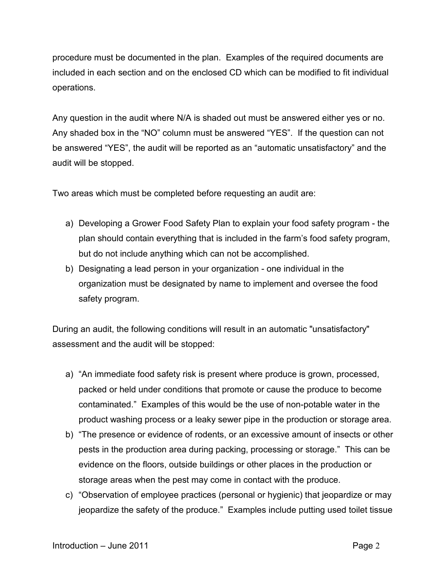procedure must be documented in the plan. Examples of the required documents are included in each section and on the enclosed CD which can be modified to fit individual operations.

Any question in the audit where N/A is shaded out must be answered either yes or no. Any shaded box in the "NO" column must be answered "YES". If the question can not be answered "YES", the audit will be reported as an "automatic unsatisfactory" and the audit will be stopped.

Two areas which must be completed before requesting an audit are:

- a) Developing a Grower Food Safety Plan to explain your food safety program the plan should contain everything that is included in the farm's food safety program, but do not include anything which can not be accomplished.
- b) Designating a lead person in your organization one individual in the organization must be designated by name to implement and oversee the food safety program.

During an audit, the following conditions will result in an automatic "unsatisfactory" assessment and the audit will be stopped:

- a) "An immediate food safety risk is present where produce is grown, processed, packed or held under conditions that promote or cause the produce to become contaminated." Examples of this would be the use of non-potable water in the product washing process or a leaky sewer pipe in the production or storage area.
- b) "The presence or evidence of rodents, or an excessive amount of insects or other pests in the production area during packing, processing or storage." This can be evidence on the floors, outside buildings or other places in the production or storage areas when the pest may come in contact with the produce.
- c) "Observation of employee practices (personal or hygienic) that jeopardize or may jeopardize the safety of the produce." Examples include putting used toilet tissue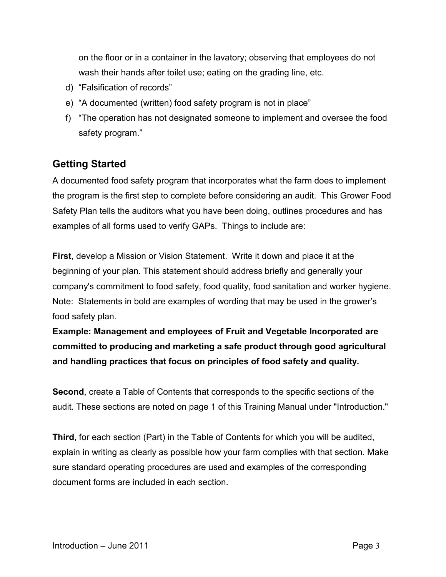on the floor or in a container in the lavatory; observing that employees do not wash their hands after toilet use; eating on the grading line, etc.

- d) "Falsification of records"
- e) "A documented (written) food safety program is not in place"
- f) "The operation has not designated someone to implement and oversee the food safety program."

## **Getting Started**

A documented food safety program that incorporates what the farm does to implement the program is the first step to complete before considering an audit. This Grower Food Safety Plan tells the auditors what you have been doing, outlines procedures and has examples of all forms used to verify GAPs. Things to include are:

**First**, develop a Mission or Vision Statement. Write it down and place it at the beginning of your plan. This statement should address briefly and generally your company's commitment to food safety, food quality, food sanitation and worker hygiene. Note: Statements in bold are examples of wording that may be used in the grower's food safety plan.

**Example: Management and employees of Fruit and Vegetable Incorporated are committed to producing and marketing a safe product through good agricultural and handling practices that focus on principles of food safety and quality.**

**Second**, create a Table of Contents that corresponds to the specific sections of the audit. These sections are noted on page 1 of this Training Manual under "Introduction."

**Third**, for each section (Part) in the Table of Contents for which you will be audited, explain in writing as clearly as possible how your farm complies with that section. Make sure standard operating procedures are used and examples of the corresponding document forms are included in each section.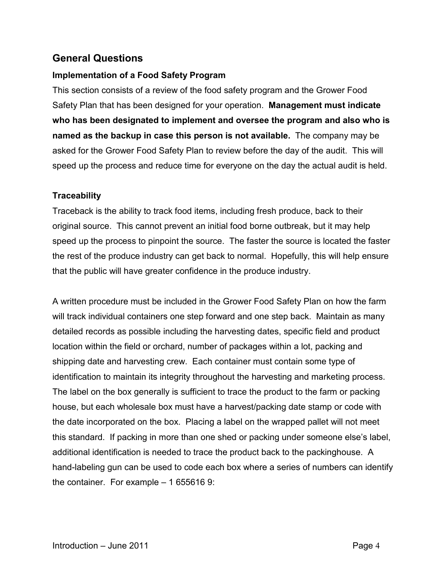## **General Questions**

#### **Implementation of a Food Safety Program**

This section consists of a review of the food safety program and the Grower Food Safety Plan that has been designed for your operation. **Management must indicate who has been designated to implement and oversee the program and also who is named as the backup in case this person is not available.** The company may be asked for the Grower Food Safety Plan to review before the day of the audit. This will speed up the process and reduce time for everyone on the day the actual audit is held.

#### **Traceability**

Traceback is the ability to track food items, including fresh produce, back to their original source. This cannot prevent an initial food borne outbreak, but it may help speed up the process to pinpoint the source. The faster the source is located the faster the rest of the produce industry can get back to normal. Hopefully, this will help ensure that the public will have greater confidence in the produce industry.

A written procedure must be included in the Grower Food Safety Plan on how the farm will track individual containers one step forward and one step back. Maintain as many detailed records as possible including the harvesting dates, specific field and product location within the field or orchard, number of packages within a lot, packing and shipping date and harvesting crew. Each container must contain some type of identification to maintain its integrity throughout the harvesting and marketing process. The label on the box generally is sufficient to trace the product to the farm or packing house, but each wholesale box must have a harvest/packing date stamp or code with the date incorporated on the box. Placing a label on the wrapped pallet will not meet this standard. If packing in more than one shed or packing under someone else's label, additional identification is needed to trace the product back to the packinghouse. A hand-labeling gun can be used to code each box where a series of numbers can identify the container. For example – 1 655616 9: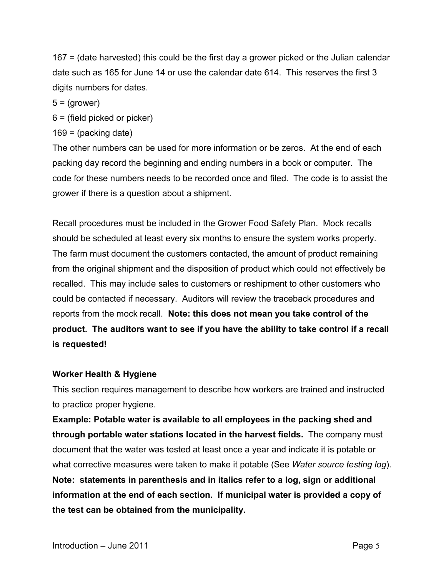167 = (date harvested) this could be the first day a grower picked or the Julian calendar date such as 165 for June 14 or use the calendar date 614. This reserves the first 3 digits numbers for dates.

 $5 = (grower)$ 

6 = (field picked or picker)

 $169 = (packing date)$ 

The other numbers can be used for more information or be zeros. At the end of each packing day record the beginning and ending numbers in a book or computer. The code for these numbers needs to be recorded once and filed. The code is to assist the grower if there is a question about a shipment.

Recall procedures must be included in the Grower Food Safety Plan. Mock recalls should be scheduled at least every six months to ensure the system works properly. The farm must document the customers contacted, the amount of product remaining from the original shipment and the disposition of product which could not effectively be recalled. This may include sales to customers or reshipment to other customers who could be contacted if necessary. Auditors will review the traceback procedures and reports from the mock recall. **Note: this does not mean you take control of the product. The auditors want to see if you have the ability to take control if a recall is requested!**

#### **Worker Health & Hygiene**

This section requires management to describe how workers are trained and instructed to practice proper hygiene.

**Example: Potable water is available to all employees in the packing shed and through portable water stations located in the harvest fields.** The company must document that the water was tested at least once a year and indicate it is potable or what corrective measures were taken to make it potable (See *Water source testing log*). **Note: statements in parenthesis and in italics refer to a log, sign or additional information at the end of each section. If municipal water is provided a copy of the test can be obtained from the municipality.**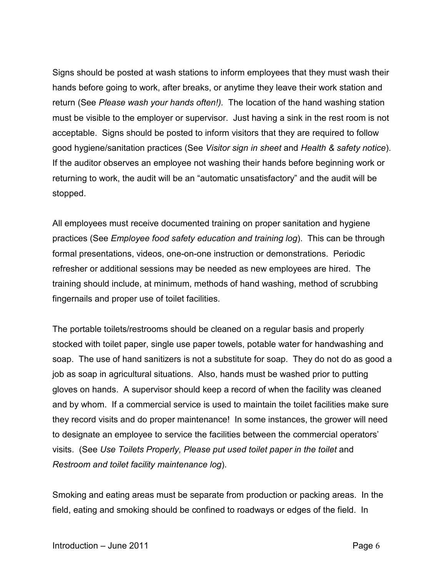Signs should be posted at wash stations to inform employees that they must wash their hands before going to work, after breaks, or anytime they leave their work station and return (See *Please wash your hands often!).* The location of the hand washing station must be visible to the employer or supervisor. Just having a sink in the rest room is not acceptable. Signs should be posted to inform visitors that they are required to follow good hygiene/sanitation practices (See *Visitor sign in sheet* and *Health & safety notice*). If the auditor observes an employee not washing their hands before beginning work or returning to work, the audit will be an "automatic unsatisfactory" and the audit will be stopped.

All employees must receive documented training on proper sanitation and hygiene practices (See *Employee food safety education and training log*). This can be through formal presentations, videos, one-on-one instruction or demonstrations. Periodic refresher or additional sessions may be needed as new employees are hired. The training should include, at minimum, methods of hand washing, method of scrubbing fingernails and proper use of toilet facilities.

The portable toilets/restrooms should be cleaned on a regular basis and properly stocked with toilet paper, single use paper towels, potable water for handwashing and soap. The use of hand sanitizers is not a substitute for soap. They do not do as good a job as soap in agricultural situations. Also, hands must be washed prior to putting gloves on hands. A supervisor should keep a record of when the facility was cleaned and by whom. If a commercial service is used to maintain the toilet facilities make sure they record visits and do proper maintenance! In some instances, the grower will need to designate an employee to service the facilities between the commercial operators' visits. (See *Use Toilets Properly, Please put used toilet paper in the toilet* and *Restroom and toilet facility maintenance log*).

Smoking and eating areas must be separate from production or packing areas. In the field, eating and smoking should be confined to roadways or edges of the field. In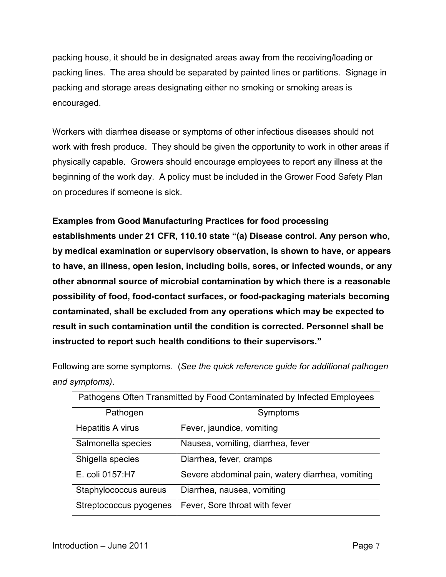packing house, it should be in designated areas away from the receiving/loading or packing lines. The area should be separated by painted lines or partitions. Signage in packing and storage areas designating either no smoking or smoking areas is encouraged.

Workers with diarrhea disease or symptoms of other infectious diseases should not work with fresh produce. They should be given the opportunity to work in other areas if physically capable. Growers should encourage employees to report any illness at the beginning of the work day. A policy must be included in the Grower Food Safety Plan on procedures if someone is sick.

#### **Examples from Good Manufacturing Practices for food processing**

**establishments under 21 CFR, 110.10 state "(a) Disease control. Any person who, by medical examination or supervisory observation, is shown to have, or appears to have, an illness, open lesion, including boils, sores, or infected wounds, or any other abnormal source of microbial contamination by which there is a reasonable possibility of food, food-contact surfaces, or food-packaging materials becoming contaminated, shall be excluded from any operations which may be expected to result in such contamination until the condition is corrected. Personnel shall be instructed to report such health conditions to their supervisors."**

Following are some symptoms. (*See the quick reference guide for additional pathogen and symptoms)*.

| Pathogens Often Transmitted by Food Contaminated by Infected Employees |                                                  |
|------------------------------------------------------------------------|--------------------------------------------------|
| Pathogen                                                               | Symptoms                                         |
| Hepatitis A virus                                                      | Fever, jaundice, vomiting                        |
| Salmonella species                                                     | Nausea, vomiting, diarrhea, fever                |
| Shigella species                                                       | Diarrhea, fever, cramps                          |
| E. coli 0157: H7                                                       | Severe abdominal pain, watery diarrhea, vomiting |
| Staphylococcus aureus                                                  | Diarrhea, nausea, vomiting                       |
| Streptococcus pyogenes                                                 | Fever, Sore throat with fever                    |